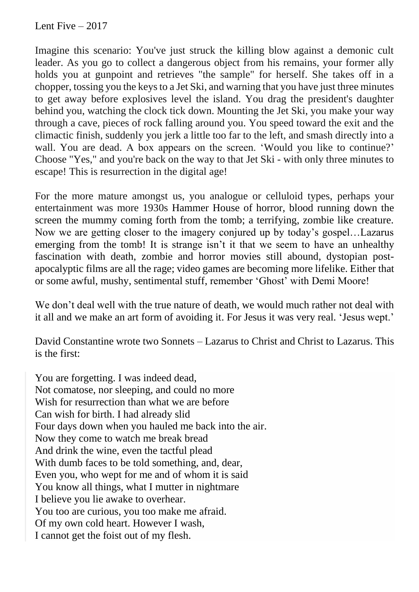Lent Five  $-2017$ 

Imagine this scenario: You've just struck the killing blow against a demonic cult leader. As you go to collect a dangerous object from his remains, your former ally holds you at gunpoint and retrieves "the sample" for herself. She takes off in a chopper, tossing you the keys to a Jet Ski, and warning that you have just three minutes to get away before explosives level the island. You drag the president's daughter behind you, watching the clock tick down. Mounting the Jet Ski, you make your way through a cave, pieces of rock falling around you. You speed toward the exit and the climactic finish, suddenly you jerk a little too far to the left, and smash directly into a wall. You are dead. A box appears on the screen. 'Would you like to continue?' Choose "Yes," and you're back on the way to that Jet Ski - with only three minutes to escape! This is resurrection in the digital age!

For the more mature amongst us, you analogue or celluloid types, perhaps your entertainment was more 1930s Hammer House of horror, blood running down the screen the mummy coming forth from the tomb; a terrifying, zombie like creature. Now we are getting closer to the imagery conjured up by today's gospel…Lazarus emerging from the tomb! It is strange isn't it that we seem to have an unhealthy fascination with death, zombie and horror movies still abound, dystopian postapocalyptic films are all the rage; video games are becoming more lifelike. Either that or some awful, mushy, sentimental stuff, remember 'Ghost' with Demi Moore!

We don't deal well with the true nature of death, we would much rather not deal with it all and we make an art form of avoiding it. For Jesus it was very real. 'Jesus wept.'

David Constantine wrote two Sonnets – Lazarus to Christ and Christ to Lazarus. This is the first:

You are forgetting. I was indeed dead, Not comatose, nor sleeping, and could no more Wish for resurrection than what we are before Can wish for birth. I had already slid Four days down when you hauled me back into the air. Now they come to watch me break bread And drink the wine, even the tactful plead With dumb faces to be told something, and, dear, Even you, who wept for me and of whom it is said You know all things, what I mutter in nightmare I believe you lie awake to overhear. You too are curious, you too make me afraid. Of my own cold heart. However I wash, I cannot get the foist out of my flesh.